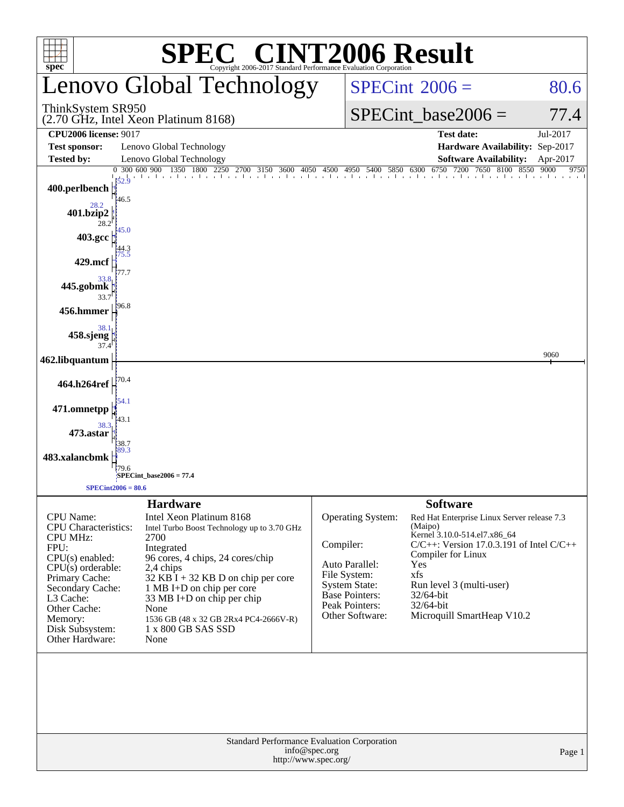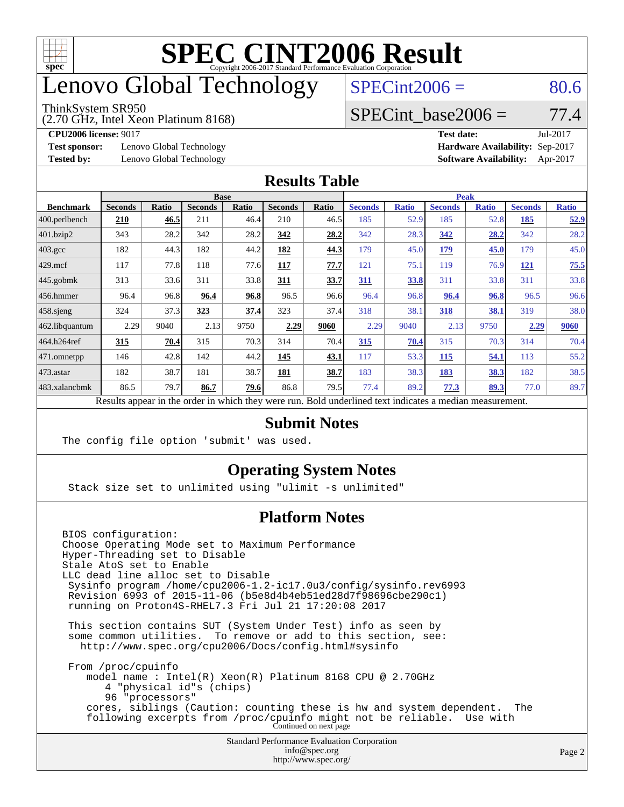

### enovo Global Technology

#### ThinkSystem SR950

(2.70 GHz, Intel Xeon Platinum 8168)

 $SPECint2006 = 80.6$  $SPECint2006 = 80.6$ 

### SPECint base2006 =  $77.4$

**[Test sponsor:](http://www.spec.org/auto/cpu2006/Docs/result-fields.html#Testsponsor)** Lenovo Global Technology **[Hardware Availability:](http://www.spec.org/auto/cpu2006/Docs/result-fields.html#HardwareAvailability)** Sep-2017

**[CPU2006 license:](http://www.spec.org/auto/cpu2006/Docs/result-fields.html#CPU2006license)** 9017 **[Test date:](http://www.spec.org/auto/cpu2006/Docs/result-fields.html#Testdate)** Jul-2017 **[Tested by:](http://www.spec.org/auto/cpu2006/Docs/result-fields.html#Testedby)** Lenovo Global Technology **[Software Availability:](http://www.spec.org/auto/cpu2006/Docs/result-fields.html#SoftwareAvailability)** Apr-2017

#### **[Results Table](http://www.spec.org/auto/cpu2006/Docs/result-fields.html#ResultsTable)**

|                  | <b>Base</b>                                                                                              |       |                |       |                |       | <b>Peak</b>    |              |                |              |                |              |
|------------------|----------------------------------------------------------------------------------------------------------|-------|----------------|-------|----------------|-------|----------------|--------------|----------------|--------------|----------------|--------------|
| <b>Benchmark</b> | <b>Seconds</b>                                                                                           | Ratio | <b>Seconds</b> | Ratio | <b>Seconds</b> | Ratio | <b>Seconds</b> | <b>Ratio</b> | <b>Seconds</b> | <b>Ratio</b> | <b>Seconds</b> | <b>Ratio</b> |
| 400.perlbench    | 210                                                                                                      | 46.5  | 211            | 46.4  | 210            | 46.5  | 185            | 52.9         | 185            | 52.8         | 185            | <u>52.9</u>  |
| 401.bzip2        | 343                                                                                                      | 28.2  | 342            | 28.2  | 342            | 28.2  | 342            | 28.3         | 342            | 28.2         | 342            | 28.2         |
| $403.\text{gcc}$ | 182                                                                                                      | 44.3  | 182            | 44.2  | 182            | 44.3  | 179            | 45.0         | 179            | 45.0         | 179            | 45.0         |
| $429$ .mcf       | 117                                                                                                      | 77.8  | 118            | 77.6  | 117            | 77.7  | 121            | 75.1         | 119            | 76.9         | <b>121</b>     | 75.5         |
| $445$ .gobmk     | 313                                                                                                      | 33.6  | 311            | 33.8  | 311            | 33.7  | 311            | 33.8         | 311            | 33.8         | 311            | 33.8         |
| $456.$ hmmer     | 96.4                                                                                                     | 96.8  | 96.4           | 96.8  | 96.5           | 96.6  | 96.4           | 96.8         | 96.4           | 96.8         | 96.5           | 96.6         |
| $458$ .sjeng     | 324                                                                                                      | 37.3  | 323            | 37.4  | 323            | 37.4  | 318            | 38.1         | 318            | 38.1         | 319            | 38.0         |
| 462.libquantum   | 2.29                                                                                                     | 9040  | 2.13           | 9750  | 2.29           | 9060  | 2.29           | 9040         | 2.13           | 9750         | 2.29           | 9060         |
| 464.h264ref      | 315                                                                                                      | 70.4  | 315            | 70.3  | 314            | 70.4  | 315            | 70.4         | 315            | 70.3         | 314            | 70.4         |
| 471.omnetpp      | 146                                                                                                      | 42.8  | 142            | 44.2  | 145            | 43.1  | 117            | 53.3         | 115            | 54.1         | 113            | 55.2         |
| $473.$ astar     | 182                                                                                                      | 38.7  | 181            | 38.7  | 181            | 38.7  | 183            | 38.3         | 183            | 38.3         | 182            | 38.5         |
| 483.xalancbmk    | 86.5                                                                                                     | 79.7  | 86.7           | 79.6  | 86.8           | 79.5  | 77.4           | 89.2         | 77.3           | 89.3         | 77.0           | 89.7         |
|                  | Results appear in the order in which they were run. Bold underlined text indicates a median measurement. |       |                |       |                |       |                |              |                |              |                |              |

#### **[Submit Notes](http://www.spec.org/auto/cpu2006/Docs/result-fields.html#SubmitNotes)**

The config file option 'submit' was used.

### **[Operating System Notes](http://www.spec.org/auto/cpu2006/Docs/result-fields.html#OperatingSystemNotes)**

Stack size set to unlimited using "ulimit -s unlimited"

### **[Platform Notes](http://www.spec.org/auto/cpu2006/Docs/result-fields.html#PlatformNotes)**

Standard Performance Evaluation Corporation [info@spec.org](mailto:info@spec.org) BIOS configuration: Choose Operating Mode set to Maximum Performance Hyper-Threading set to Disable Stale AtoS set to Enable LLC dead line alloc set to Disable Sysinfo program /home/cpu2006-1.2-ic17.0u3/config/sysinfo.rev6993 Revision 6993 of 2015-11-06 (b5e8d4b4eb51ed28d7f98696cbe290c1) running on Proton4S-RHEL7.3 Fri Jul 21 17:20:08 2017 This section contains SUT (System Under Test) info as seen by some common utilities. To remove or add to this section, see: <http://www.spec.org/cpu2006/Docs/config.html#sysinfo> From /proc/cpuinfo model name : Intel(R) Xeon(R) Platinum 8168 CPU @ 2.70GHz 4 "physical id"s (chips) 96 "processors" cores, siblings (Caution: counting these is hw and system dependent. The following excerpts from /proc/cpuinfo might not be reliable. Use with Continued on next page

<http://www.spec.org/>

```
Page 2
```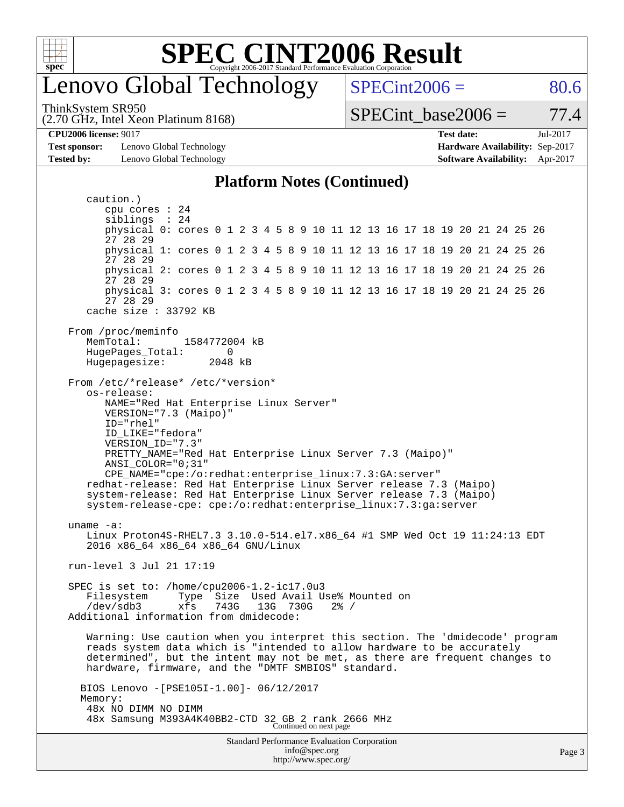

### enovo Global Technology

ThinkSystem SR950

(2.70 GHz, Intel Xeon Platinum 8168)

 $SPECint2006 = 80.6$  $SPECint2006 = 80.6$ 

SPECint base2006 =  $77.4$ 

**[CPU2006 license:](http://www.spec.org/auto/cpu2006/Docs/result-fields.html#CPU2006license)** 9017 **[Test date:](http://www.spec.org/auto/cpu2006/Docs/result-fields.html#Testdate)** Jul-2017

**[Test sponsor:](http://www.spec.org/auto/cpu2006/Docs/result-fields.html#Testsponsor)** Lenovo Global Technology **[Hardware Availability:](http://www.spec.org/auto/cpu2006/Docs/result-fields.html#HardwareAvailability)** Sep-2017

**[Tested by:](http://www.spec.org/auto/cpu2006/Docs/result-fields.html#Testedby)** Lenovo Global Technology **[Software Availability:](http://www.spec.org/auto/cpu2006/Docs/result-fields.html#SoftwareAvailability)** Apr-2017 **[Platform Notes \(Continued\)](http://www.spec.org/auto/cpu2006/Docs/result-fields.html#PlatformNotes)**

Standard Performance Evaluation Corporation [info@spec.org](mailto:info@spec.org) caution.) cpu cores : 24 siblings : 24 physical 0: cores 0 1 2 3 4 5 8 9 10 11 12 13 16 17 18 19 20 21 24 25 26 27 28 29 physical 1: cores 0 1 2 3 4 5 8 9 10 11 12 13 16 17 18 19 20 21 24 25 26 27 28 29 physical 2: cores 0 1 2 3 4 5 8 9 10 11 12 13 16 17 18 19 20 21 24 25 26 27 28 29 physical 3: cores 0 1 2 3 4 5 8 9 10 11 12 13 16 17 18 19 20 21 24 25 26 27 28 29 cache size : 33792 KB From /proc/meminfo MemTotal: 1584772004 kB HugePages\_Total: 0<br>Hugepagesize: 2048 kB Hugepagesize: From /etc/\*release\* /etc/\*version\* os-release: NAME="Red Hat Enterprise Linux Server" VERSION="7.3 (Maipo)" ID="rhel" ID\_LIKE="fedora" VERSION\_ID="7.3" PRETTY\_NAME="Red Hat Enterprise Linux Server 7.3 (Maipo)" ANSI\_COLOR="0;31" CPE\_NAME="cpe:/o:redhat:enterprise\_linux:7.3:GA:server" redhat-release: Red Hat Enterprise Linux Server release 7.3 (Maipo) system-release: Red Hat Enterprise Linux Server release 7.3 (Maipo) system-release-cpe: cpe:/o:redhat:enterprise\_linux:7.3:ga:server uname -a: Linux Proton4S-RHEL7.3 3.10.0-514.el7.x86 64 #1 SMP Wed Oct 19 11:24:13 EDT 2016 x86\_64 x86\_64 x86\_64 GNU/Linux run-level 3 Jul 21 17:19 SPEC is set to: /home/cpu2006-1.2-ic17.0u3 Filesystem Type Size Used Avail Use% Mounted on /dev/sdb3 xfs 743G 13G 730G 2% / Additional information from dmidecode: Warning: Use caution when you interpret this section. The 'dmidecode' program reads system data which is "intended to allow hardware to be accurately determined", but the intent may not be met, as there are frequent changes to hardware, firmware, and the "DMTF SMBIOS" standard. BIOS Lenovo -[PSE105I-1.00]- 06/12/2017 Memory: 48x NO DIMM NO DIMM 48x Samsung M393A4K40BB2-CTD 32 GB 2 rank 2666 MHz Continued on next page

<http://www.spec.org/>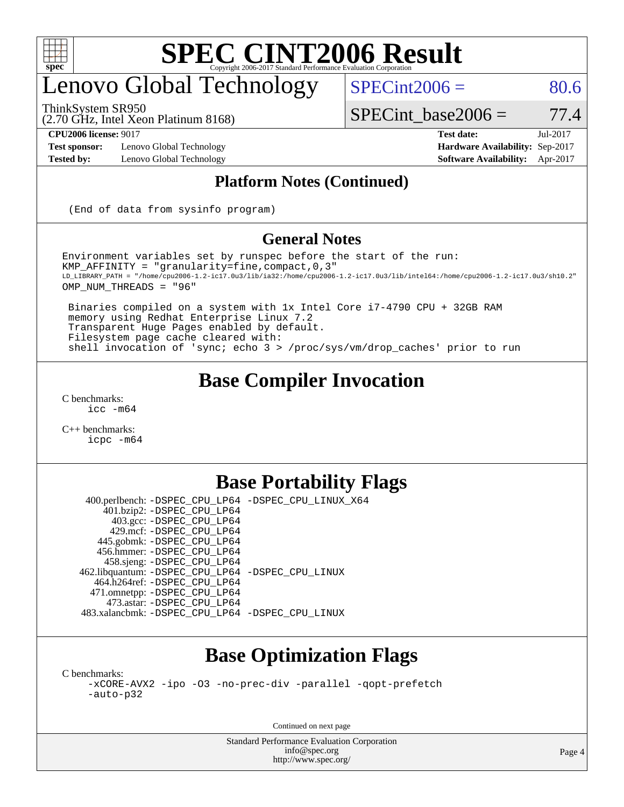

## enovo Global Technology

ThinkSystem SR950

 $SPECint2006 = 80.6$  $SPECint2006 = 80.6$ 

(2.70 GHz, Intel Xeon Platinum 8168)

 $SPECTnt\_base2006 = 77.4$ 

**[Test sponsor:](http://www.spec.org/auto/cpu2006/Docs/result-fields.html#Testsponsor)** Lenovo Global Technology **[Hardware Availability:](http://www.spec.org/auto/cpu2006/Docs/result-fields.html#HardwareAvailability)** Sep-2017

**[CPU2006 license:](http://www.spec.org/auto/cpu2006/Docs/result-fields.html#CPU2006license)** 9017 **[Test date:](http://www.spec.org/auto/cpu2006/Docs/result-fields.html#Testdate)** Jul-2017 **[Tested by:](http://www.spec.org/auto/cpu2006/Docs/result-fields.html#Testedby)** Lenovo Global Technology **[Software Availability:](http://www.spec.org/auto/cpu2006/Docs/result-fields.html#SoftwareAvailability)** Apr-2017

### **[Platform Notes \(Continued\)](http://www.spec.org/auto/cpu2006/Docs/result-fields.html#PlatformNotes)**

(End of data from sysinfo program)

#### **[General Notes](http://www.spec.org/auto/cpu2006/Docs/result-fields.html#GeneralNotes)**

Environment variables set by runspec before the start of the run: KMP\_AFFINITY = "granularity=fine,compact,0,3" LD\_LIBRARY\_PATH = "/home/cpu2006-1.2-ic17.0u3/lib/ia32:/home/cpu2006-1.2-ic17.0u3/lib/intel64:/home/cpu2006-1.2-ic17.0u3/sh10.2" OMP\_NUM\_THREADS = "96"

 Binaries compiled on a system with 1x Intel Core i7-4790 CPU + 32GB RAM memory using Redhat Enterprise Linux 7.2 Transparent Huge Pages enabled by default. Filesystem page cache cleared with: shell invocation of 'sync; echo 3 > /proc/sys/vm/drop\_caches' prior to run

### **[Base Compiler Invocation](http://www.spec.org/auto/cpu2006/Docs/result-fields.html#BaseCompilerInvocation)**

[C benchmarks](http://www.spec.org/auto/cpu2006/Docs/result-fields.html#Cbenchmarks): [icc -m64](http://www.spec.org/cpu2006/results/res2017q4/cpu2006-20171031-50400.flags.html#user_CCbase_intel_icc_64bit_bda6cc9af1fdbb0edc3795bac97ada53)

[C++ benchmarks:](http://www.spec.org/auto/cpu2006/Docs/result-fields.html#CXXbenchmarks) [icpc -m64](http://www.spec.org/cpu2006/results/res2017q4/cpu2006-20171031-50400.flags.html#user_CXXbase_intel_icpc_64bit_fc66a5337ce925472a5c54ad6a0de310)

### **[Base Portability Flags](http://www.spec.org/auto/cpu2006/Docs/result-fields.html#BasePortabilityFlags)**

 400.perlbench: [-DSPEC\\_CPU\\_LP64](http://www.spec.org/cpu2006/results/res2017q4/cpu2006-20171031-50400.flags.html#b400.perlbench_basePORTABILITY_DSPEC_CPU_LP64) [-DSPEC\\_CPU\\_LINUX\\_X64](http://www.spec.org/cpu2006/results/res2017q4/cpu2006-20171031-50400.flags.html#b400.perlbench_baseCPORTABILITY_DSPEC_CPU_LINUX_X64) 401.bzip2: [-DSPEC\\_CPU\\_LP64](http://www.spec.org/cpu2006/results/res2017q4/cpu2006-20171031-50400.flags.html#suite_basePORTABILITY401_bzip2_DSPEC_CPU_LP64) 403.gcc: [-DSPEC\\_CPU\\_LP64](http://www.spec.org/cpu2006/results/res2017q4/cpu2006-20171031-50400.flags.html#suite_basePORTABILITY403_gcc_DSPEC_CPU_LP64) 429.mcf: [-DSPEC\\_CPU\\_LP64](http://www.spec.org/cpu2006/results/res2017q4/cpu2006-20171031-50400.flags.html#suite_basePORTABILITY429_mcf_DSPEC_CPU_LP64) 445.gobmk: [-DSPEC\\_CPU\\_LP64](http://www.spec.org/cpu2006/results/res2017q4/cpu2006-20171031-50400.flags.html#suite_basePORTABILITY445_gobmk_DSPEC_CPU_LP64) 456.hmmer: [-DSPEC\\_CPU\\_LP64](http://www.spec.org/cpu2006/results/res2017q4/cpu2006-20171031-50400.flags.html#suite_basePORTABILITY456_hmmer_DSPEC_CPU_LP64) 458.sjeng: [-DSPEC\\_CPU\\_LP64](http://www.spec.org/cpu2006/results/res2017q4/cpu2006-20171031-50400.flags.html#suite_basePORTABILITY458_sjeng_DSPEC_CPU_LP64) 462.libquantum: [-DSPEC\\_CPU\\_LP64](http://www.spec.org/cpu2006/results/res2017q4/cpu2006-20171031-50400.flags.html#suite_basePORTABILITY462_libquantum_DSPEC_CPU_LP64) [-DSPEC\\_CPU\\_LINUX](http://www.spec.org/cpu2006/results/res2017q4/cpu2006-20171031-50400.flags.html#b462.libquantum_baseCPORTABILITY_DSPEC_CPU_LINUX) 464.h264ref: [-DSPEC\\_CPU\\_LP64](http://www.spec.org/cpu2006/results/res2017q4/cpu2006-20171031-50400.flags.html#suite_basePORTABILITY464_h264ref_DSPEC_CPU_LP64) 471.omnetpp: [-DSPEC\\_CPU\\_LP64](http://www.spec.org/cpu2006/results/res2017q4/cpu2006-20171031-50400.flags.html#suite_basePORTABILITY471_omnetpp_DSPEC_CPU_LP64) 473.astar: [-DSPEC\\_CPU\\_LP64](http://www.spec.org/cpu2006/results/res2017q4/cpu2006-20171031-50400.flags.html#suite_basePORTABILITY473_astar_DSPEC_CPU_LP64) 483.xalancbmk: [-DSPEC\\_CPU\\_LP64](http://www.spec.org/cpu2006/results/res2017q4/cpu2006-20171031-50400.flags.html#suite_basePORTABILITY483_xalancbmk_DSPEC_CPU_LP64) [-DSPEC\\_CPU\\_LINUX](http://www.spec.org/cpu2006/results/res2017q4/cpu2006-20171031-50400.flags.html#b483.xalancbmk_baseCXXPORTABILITY_DSPEC_CPU_LINUX)

### **[Base Optimization Flags](http://www.spec.org/auto/cpu2006/Docs/result-fields.html#BaseOptimizationFlags)**

[C benchmarks](http://www.spec.org/auto/cpu2006/Docs/result-fields.html#Cbenchmarks):

[-xCORE-AVX2](http://www.spec.org/cpu2006/results/res2017q4/cpu2006-20171031-50400.flags.html#user_CCbase_f-xCORE-AVX2) [-ipo](http://www.spec.org/cpu2006/results/res2017q4/cpu2006-20171031-50400.flags.html#user_CCbase_f-ipo) [-O3](http://www.spec.org/cpu2006/results/res2017q4/cpu2006-20171031-50400.flags.html#user_CCbase_f-O3) [-no-prec-div](http://www.spec.org/cpu2006/results/res2017q4/cpu2006-20171031-50400.flags.html#user_CCbase_f-no-prec-div) [-parallel](http://www.spec.org/cpu2006/results/res2017q4/cpu2006-20171031-50400.flags.html#user_CCbase_f-parallel) [-qopt-prefetch](http://www.spec.org/cpu2006/results/res2017q4/cpu2006-20171031-50400.flags.html#user_CCbase_f-qopt-prefetch) [-auto-p32](http://www.spec.org/cpu2006/results/res2017q4/cpu2006-20171031-50400.flags.html#user_CCbase_f-auto-p32)

Continued on next page

Standard Performance Evaluation Corporation [info@spec.org](mailto:info@spec.org) <http://www.spec.org/>

Page 4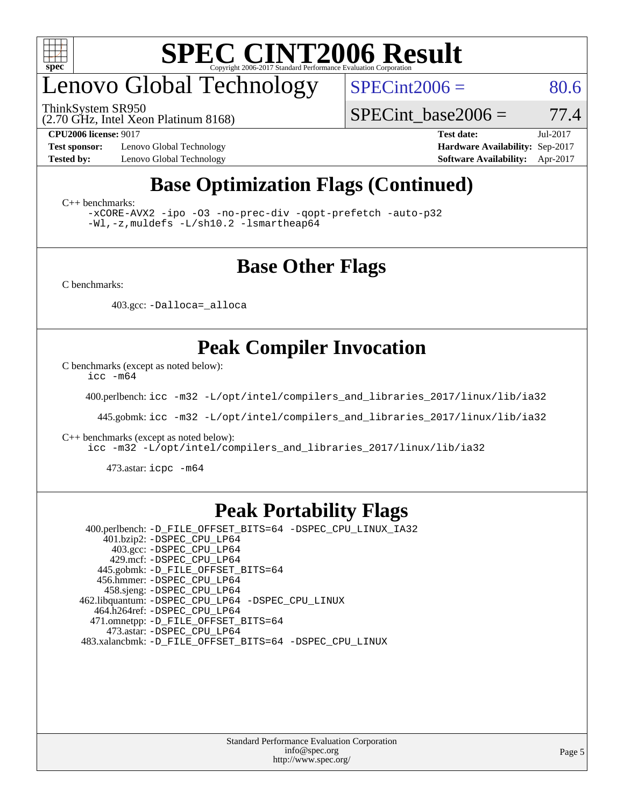

## enovo Global Technology

ThinkSystem SR950

 $SPECint2006 = 80.6$  $SPECint2006 = 80.6$ 

(2.70 GHz, Intel Xeon Platinum 8168)

SPECint base2006 =  $77.4$ 

**[Test sponsor:](http://www.spec.org/auto/cpu2006/Docs/result-fields.html#Testsponsor)** Lenovo Global Technology **[Hardware Availability:](http://www.spec.org/auto/cpu2006/Docs/result-fields.html#HardwareAvailability)** Sep-2017

**[CPU2006 license:](http://www.spec.org/auto/cpu2006/Docs/result-fields.html#CPU2006license)** 9017 **[Test date:](http://www.spec.org/auto/cpu2006/Docs/result-fields.html#Testdate)** Jul-2017 **[Tested by:](http://www.spec.org/auto/cpu2006/Docs/result-fields.html#Testedby)** Lenovo Global Technology **[Software Availability:](http://www.spec.org/auto/cpu2006/Docs/result-fields.html#SoftwareAvailability)** Apr-2017

### **[Base Optimization Flags \(Continued\)](http://www.spec.org/auto/cpu2006/Docs/result-fields.html#BaseOptimizationFlags)**

[C++ benchmarks:](http://www.spec.org/auto/cpu2006/Docs/result-fields.html#CXXbenchmarks)

[-xCORE-AVX2](http://www.spec.org/cpu2006/results/res2017q4/cpu2006-20171031-50400.flags.html#user_CXXbase_f-xCORE-AVX2) [-ipo](http://www.spec.org/cpu2006/results/res2017q4/cpu2006-20171031-50400.flags.html#user_CXXbase_f-ipo) [-O3](http://www.spec.org/cpu2006/results/res2017q4/cpu2006-20171031-50400.flags.html#user_CXXbase_f-O3) [-no-prec-div](http://www.spec.org/cpu2006/results/res2017q4/cpu2006-20171031-50400.flags.html#user_CXXbase_f-no-prec-div) [-qopt-prefetch](http://www.spec.org/cpu2006/results/res2017q4/cpu2006-20171031-50400.flags.html#user_CXXbase_f-qopt-prefetch) [-auto-p32](http://www.spec.org/cpu2006/results/res2017q4/cpu2006-20171031-50400.flags.html#user_CXXbase_f-auto-p32) [-Wl,-z,muldefs](http://www.spec.org/cpu2006/results/res2017q4/cpu2006-20171031-50400.flags.html#user_CXXbase_link_force_multiple1_74079c344b956b9658436fd1b6dd3a8a) [-L/sh10.2 -lsmartheap64](http://www.spec.org/cpu2006/results/res2017q4/cpu2006-20171031-50400.flags.html#user_CXXbase_SmartHeap64_63911d860fc08c15fa1d5bf319b9d8d5)

### **[Base Other Flags](http://www.spec.org/auto/cpu2006/Docs/result-fields.html#BaseOtherFlags)**

[C benchmarks](http://www.spec.org/auto/cpu2006/Docs/result-fields.html#Cbenchmarks):

403.gcc: [-Dalloca=\\_alloca](http://www.spec.org/cpu2006/results/res2017q4/cpu2006-20171031-50400.flags.html#b403.gcc_baseEXTRA_CFLAGS_Dalloca_be3056838c12de2578596ca5467af7f3)

### **[Peak Compiler Invocation](http://www.spec.org/auto/cpu2006/Docs/result-fields.html#PeakCompilerInvocation)**

[C benchmarks \(except as noted below\)](http://www.spec.org/auto/cpu2006/Docs/result-fields.html#Cbenchmarksexceptasnotedbelow):

[icc -m64](http://www.spec.org/cpu2006/results/res2017q4/cpu2006-20171031-50400.flags.html#user_CCpeak_intel_icc_64bit_bda6cc9af1fdbb0edc3795bac97ada53)

400.perlbench: [icc -m32 -L/opt/intel/compilers\\_and\\_libraries\\_2017/linux/lib/ia32](http://www.spec.org/cpu2006/results/res2017q4/cpu2006-20171031-50400.flags.html#user_peakCCLD400_perlbench_intel_icc_c29f3ff5a7ed067b11e4ec10a03f03ae)

445.gobmk: [icc -m32 -L/opt/intel/compilers\\_and\\_libraries\\_2017/linux/lib/ia32](http://www.spec.org/cpu2006/results/res2017q4/cpu2006-20171031-50400.flags.html#user_peakCCLD445_gobmk_intel_icc_c29f3ff5a7ed067b11e4ec10a03f03ae)

[C++ benchmarks \(except as noted below\):](http://www.spec.org/auto/cpu2006/Docs/result-fields.html#CXXbenchmarksexceptasnotedbelow)

[icc -m32 -L/opt/intel/compilers\\_and\\_libraries\\_2017/linux/lib/ia32](http://www.spec.org/cpu2006/results/res2017q4/cpu2006-20171031-50400.flags.html#user_CXXpeak_intel_icc_c29f3ff5a7ed067b11e4ec10a03f03ae)

473.astar: [icpc -m64](http://www.spec.org/cpu2006/results/res2017q4/cpu2006-20171031-50400.flags.html#user_peakCXXLD473_astar_intel_icpc_64bit_fc66a5337ce925472a5c54ad6a0de310)

### **[Peak Portability Flags](http://www.spec.org/auto/cpu2006/Docs/result-fields.html#PeakPortabilityFlags)**

 400.perlbench: [-D\\_FILE\\_OFFSET\\_BITS=64](http://www.spec.org/cpu2006/results/res2017q4/cpu2006-20171031-50400.flags.html#user_peakPORTABILITY400_perlbench_file_offset_bits_64_438cf9856305ebd76870a2c6dc2689ab) [-DSPEC\\_CPU\\_LINUX\\_IA32](http://www.spec.org/cpu2006/results/res2017q4/cpu2006-20171031-50400.flags.html#b400.perlbench_peakCPORTABILITY_DSPEC_CPU_LINUX_IA32) 401.bzip2: [-DSPEC\\_CPU\\_LP64](http://www.spec.org/cpu2006/results/res2017q4/cpu2006-20171031-50400.flags.html#suite_peakPORTABILITY401_bzip2_DSPEC_CPU_LP64) 403.gcc: [-DSPEC\\_CPU\\_LP64](http://www.spec.org/cpu2006/results/res2017q4/cpu2006-20171031-50400.flags.html#suite_peakPORTABILITY403_gcc_DSPEC_CPU_LP64) 429.mcf: [-DSPEC\\_CPU\\_LP64](http://www.spec.org/cpu2006/results/res2017q4/cpu2006-20171031-50400.flags.html#suite_peakPORTABILITY429_mcf_DSPEC_CPU_LP64) 445.gobmk: [-D\\_FILE\\_OFFSET\\_BITS=64](http://www.spec.org/cpu2006/results/res2017q4/cpu2006-20171031-50400.flags.html#user_peakPORTABILITY445_gobmk_file_offset_bits_64_438cf9856305ebd76870a2c6dc2689ab) 456.hmmer: [-DSPEC\\_CPU\\_LP64](http://www.spec.org/cpu2006/results/res2017q4/cpu2006-20171031-50400.flags.html#suite_peakPORTABILITY456_hmmer_DSPEC_CPU_LP64) 458.sjeng: [-DSPEC\\_CPU\\_LP64](http://www.spec.org/cpu2006/results/res2017q4/cpu2006-20171031-50400.flags.html#suite_peakPORTABILITY458_sjeng_DSPEC_CPU_LP64) 462.libquantum: [-DSPEC\\_CPU\\_LP64](http://www.spec.org/cpu2006/results/res2017q4/cpu2006-20171031-50400.flags.html#suite_peakPORTABILITY462_libquantum_DSPEC_CPU_LP64) [-DSPEC\\_CPU\\_LINUX](http://www.spec.org/cpu2006/results/res2017q4/cpu2006-20171031-50400.flags.html#b462.libquantum_peakCPORTABILITY_DSPEC_CPU_LINUX) 464.h264ref: [-DSPEC\\_CPU\\_LP64](http://www.spec.org/cpu2006/results/res2017q4/cpu2006-20171031-50400.flags.html#suite_peakPORTABILITY464_h264ref_DSPEC_CPU_LP64) 471.omnetpp: [-D\\_FILE\\_OFFSET\\_BITS=64](http://www.spec.org/cpu2006/results/res2017q4/cpu2006-20171031-50400.flags.html#user_peakPORTABILITY471_omnetpp_file_offset_bits_64_438cf9856305ebd76870a2c6dc2689ab) 473.astar: [-DSPEC\\_CPU\\_LP64](http://www.spec.org/cpu2006/results/res2017q4/cpu2006-20171031-50400.flags.html#suite_peakPORTABILITY473_astar_DSPEC_CPU_LP64) 483.xalancbmk: [-D\\_FILE\\_OFFSET\\_BITS=64](http://www.spec.org/cpu2006/results/res2017q4/cpu2006-20171031-50400.flags.html#user_peakPORTABILITY483_xalancbmk_file_offset_bits_64_438cf9856305ebd76870a2c6dc2689ab) [-DSPEC\\_CPU\\_LINUX](http://www.spec.org/cpu2006/results/res2017q4/cpu2006-20171031-50400.flags.html#b483.xalancbmk_peakCXXPORTABILITY_DSPEC_CPU_LINUX)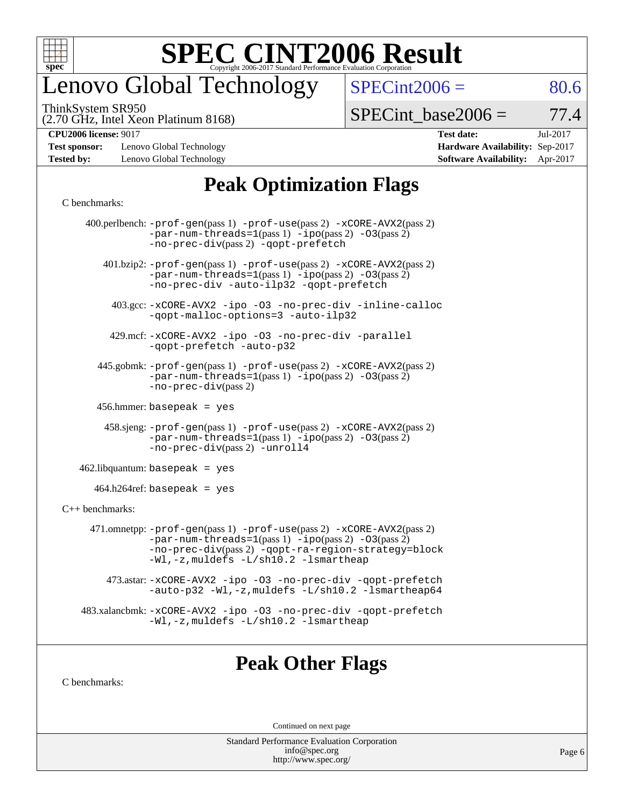

# enovo Global Technology

ThinkSystem SR950

(2.70 GHz, Intel Xeon Platinum 8168)

 $SPECTnt2006 = 80.6$ 

 $SPECTnt\_base2006 = 77.4$ 

**[Test sponsor:](http://www.spec.org/auto/cpu2006/Docs/result-fields.html#Testsponsor)** Lenovo Global Technology **[Hardware Availability:](http://www.spec.org/auto/cpu2006/Docs/result-fields.html#HardwareAvailability)** Sep-2017 **[Tested by:](http://www.spec.org/auto/cpu2006/Docs/result-fields.html#Testedby)** Lenovo Global Technology **[Software Availability:](http://www.spec.org/auto/cpu2006/Docs/result-fields.html#SoftwareAvailability)** Apr-2017

**[CPU2006 license:](http://www.spec.org/auto/cpu2006/Docs/result-fields.html#CPU2006license)** 9017 **[Test date:](http://www.spec.org/auto/cpu2006/Docs/result-fields.html#Testdate)** Jul-2017

### **[Peak Optimization Flags](http://www.spec.org/auto/cpu2006/Docs/result-fields.html#PeakOptimizationFlags)**

#### [C benchmarks](http://www.spec.org/auto/cpu2006/Docs/result-fields.html#Cbenchmarks):

|                              | 400.perlbench: -prof-gen(pass 1) -prof-use(pass 2) -xCORE-AVX2(pass 2)<br>$-par-num-threads=1(pass 1) -ipo(pass 2) -03(pass 2)$<br>-no-prec-div(pass 2) -qopt-prefetch                                                        |  |  |  |  |  |  |
|------------------------------|-------------------------------------------------------------------------------------------------------------------------------------------------------------------------------------------------------------------------------|--|--|--|--|--|--|
|                              | 401.bzip2: -prof-gen(pass 1) -prof-use(pass 2) -xCORE-AVX2(pass 2)<br>$-par-num-threads=1(pass 1) -ipo(pass 2) -03(pass 2)$<br>-no-prec-div -auto-ilp32 -qopt-prefetch                                                        |  |  |  |  |  |  |
|                              | 403.gcc: -xCORE-AVX2 -ipo -03 -no-prec-div -inline-calloc<br>-qopt-malloc-options=3 -auto-ilp32                                                                                                                               |  |  |  |  |  |  |
|                              | 429.mcf: -xCORE-AVX2 -ipo -03 -no-prec-div -parallel<br>-gopt-prefetch -auto-p32                                                                                                                                              |  |  |  |  |  |  |
|                              | 445.gobmk: -prof-gen(pass 1) -prof-use(pass 2) -xCORE-AVX2(pass 2)<br>$-par-num-threads=1(pass 1) -ipo(pass 2) -03(pass 2)$<br>-no-prec-div(pass 2)                                                                           |  |  |  |  |  |  |
| $456.$ hmmer: basepeak = yes |                                                                                                                                                                                                                               |  |  |  |  |  |  |
|                              | $458 \text{.}$ sjeng: $-\text{prof-gen(pass 1)} - \text{prof-use(pass 2)} - \text{xCORE-AVX2(pass 2)}$<br>$-par-num-threads=1(pass 1) -ipo(pass 2) -03(pass 2)$<br>-no-prec-div(pass 2) -unroll4                              |  |  |  |  |  |  |
|                              | $462$ .libquantum: basepeak = yes                                                                                                                                                                                             |  |  |  |  |  |  |
|                              | $464.h264$ ref: basepeak = yes                                                                                                                                                                                                |  |  |  |  |  |  |
| $C++$ benchmarks:            |                                                                                                                                                                                                                               |  |  |  |  |  |  |
|                              | 471.omnetpp: -prof-gen(pass 1) -prof-use(pass 2) -xCORE-AVX2(pass 2)<br>$-par-num-threads=1(pass 1) -ipo(pass 2) -03(pass 2)$<br>-no-prec-div(pass 2) -qopt-ra-region-strategy=block<br>-Wl,-z, muldefs -L/sh10.2 -lsmartheap |  |  |  |  |  |  |
|                              | 473.astar: -xCORE-AVX2 -ipo -03 -no-prec-div -qopt-prefetch<br>-auto-p32 -Wl,-z, muldefs -L/sh10.2 -lsmartheap64                                                                                                              |  |  |  |  |  |  |
|                              | 483.xalancbmk: -xCORE-AVX2 -ipo -03 -no-prec-div -qopt-prefetch<br>-Wl,-z, muldefs -L/sh10.2 -lsmartheap                                                                                                                      |  |  |  |  |  |  |
|                              |                                                                                                                                                                                                                               |  |  |  |  |  |  |
|                              |                                                                                                                                                                                                                               |  |  |  |  |  |  |

### **[Peak Other Flags](http://www.spec.org/auto/cpu2006/Docs/result-fields.html#PeakOtherFlags)**

[C benchmarks](http://www.spec.org/auto/cpu2006/Docs/result-fields.html#Cbenchmarks):

Continued on next page

Standard Performance Evaluation Corporation [info@spec.org](mailto:info@spec.org) <http://www.spec.org/>